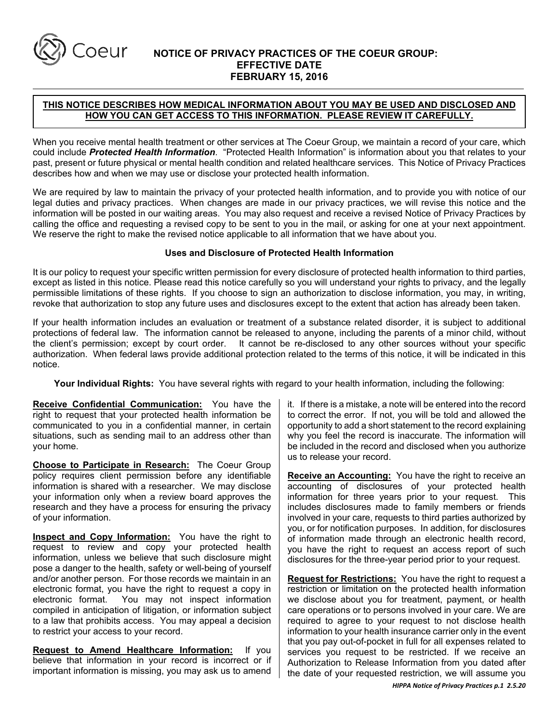

# **NOTICE OF PRIVACY PRACTICES OF THE COEUR GROUP: EFFECTIVE DATE FEBRUARY 15, 2016**

# **THIS NOTICE DESCRIBES HOW MEDICAL INFORMATION ABOUT YOU MAY BE USED AND DISCLOSED AND HOW YOU CAN GET ACCESS TO THIS INFORMATION. PLEASE REVIEW IT CAREFULLY.**

When you receive mental health treatment or other services at The Coeur Group, we maintain a record of your care, which could include *Protected Health Information*. "Protected Health Information" is information about you that relates to your past, present or future physical or mental health condition and related healthcare services. This Notice of Privacy Practices describes how and when we may use or disclose your protected health information.

We are required by law to maintain the privacy of your protected health information, and to provide you with notice of our legal duties and privacy practices. When changes are made in our privacy practices, we will revise this notice and the information will be posted in our waiting areas. You may also request and receive a revised Notice of Privacy Practices by calling the office and requesting a revised copy to be sent to you in the mail, or asking for one at your next appointment. We reserve the right to make the revised notice applicable to all information that we have about you.

#### **Uses and Disclosure of Protected Health Information**

It is our policy to request your specific written permission for every disclosure of protected health information to third parties, except as listed in this notice. Please read this notice carefully so you will understand your rights to privacy, and the legally permissible limitations of these rights. If you choose to sign an authorization to disclose information, you may, in writing, revoke that authorization to stop any future uses and disclosures except to the extent that action has already been taken.

If your health information includes an evaluation or treatment of a substance related disorder, it is subject to additional protections of federal law. The information cannot be released to anyone, including the parents of a minor child, without the client's permission; except by court order. It cannot be re-disclosed to any other sources without your specific authorization. When federal laws provide additional protection related to the terms of this notice, it will be indicated in this notice.

**Your Individual Rights:** You have several rights with regard to your health information, including the following:

**Receive Confidential Communication:** You have the right to request that your protected health information be communicated to you in a confidential manner, in certain situations, such as sending mail to an address other than your home.

**Choose to Participate in Research:** The Coeur Group policy requires client permission before any identifiable information is shared with a researcher.We may disclose your information only when a review board approves the research and they have a process for ensuring the privacy of your information.

**Inspect and Copy Information:** You have the right to request to review and copy your protected health information, unless we believe that such disclosure might pose a danger to the health, safety or well-being of yourself and/or another person. For those records we maintain in an electronic format, you have the right to request a copy in electronic format. You may not inspect information You may not inspect information compiled in anticipation of litigation, or information subject to a law that prohibits access. You may appeal a decision to restrict your access to your record.

**Request to Amend Healthcare Information:** If you believe that information in your record is incorrect or if important information is missing, you may ask us to amend

it. If there is a mistake, a note will be entered into the record to correct the error. If not, you will be told and allowed the opportunity to add a short statement to the record explaining why you feel the record is inaccurate. The information will be included in the record and disclosed when you authorize us to release your record.

**Receive an Accounting:** You have the right to receive an accounting of disclosures of your protected health information for three years prior to your request. This includes disclosures made to family members or friends involved in your care, requests to third parties authorized by you, or for notification purposes. In addition, for disclosures of information made through an electronic health record, you have the right to request an access report of such disclosures for the three-year period prior to your request.

**Request for Restrictions:** You have the right to request a restriction or limitation on the protected health information we disclose about you for treatment, payment, or health care operations or to persons involved in your care. We are required to agree to your request to not disclose health information to your health insurance carrier only in the event that you pay out-of-pocket in full for all expenses related to services you request to be restricted. If we receive an Authorization to Release Information from you dated after the date of your requested restriction, we will assume you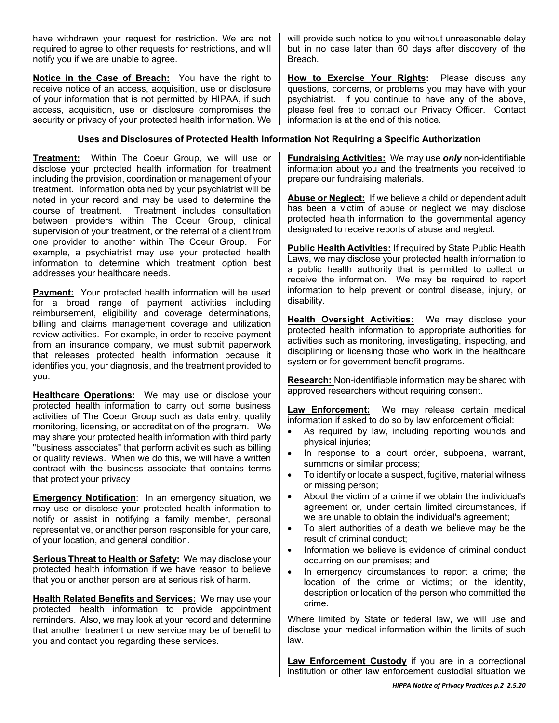have withdrawn your request for restriction. We are not required to agree to other requests for restrictions, and will notify you if we are unable to agree.

**Notice in the Case of Breach:** You have the right to receive notice of an access, acquisition, use or disclosure of your information that is not permitted by HIPAA, if such access, acquisition, use or disclosure compromises the security or privacy of your protected health information. We

# **Uses and Disclosures of Protected Health Information Not Requiring a Specific Authorization**

**Treatment:** Within The Coeur Group, we will use or disclose your protected health information for treatment including the provision, coordination or management of your treatment. Information obtained by your psychiatrist will be noted in your record and may be used to determine the course of treatment. Treatment includes consultation between providers within The Coeur Group, clinical supervision of your treatment, or the referral of a client from one provider to another within The Coeur Group. For example, a psychiatrist may use your protected health information to determine which treatment option best addresses your healthcare needs.

**Payment:** Your protected health information will be used for a broad range of payment activities including reimbursement, eligibility and coverage determinations, billing and claims management coverage and utilization review activities. For example, in order to receive payment from an insurance company, we must submit paperwork that releases protected health information because it identifies you, your diagnosis, and the treatment provided to you.

**Healthcare Operations:** We may use or disclose your protected health information to carry out some business activities of The Coeur Group such as data entry, quality monitoring, licensing, or accreditation of the program. We may share your protected health information with third party "business associates" that perform activities such as billing or quality reviews. When we do this, we will have a written contract with the business associate that contains terms that protect your privacy

**Emergency Notification**: In an emergency situation, we may use or disclose your protected health information to notify or assist in notifying a family member, personal representative, or another person responsible for your care, of your location, and general condition.

**Serious Threat to Health or Safety:** We may disclose your protected health information if we have reason to believe that you or another person are at serious risk of harm.

**Health Related Benefits and Services:** We may use your protected health information to provide appointment reminders. Also, we may look at your record and determine that another treatment or new service may be of benefit to you and contact you regarding these services.

will provide such notice to you without unreasonable delay but in no case later than 60 days after discovery of the Breach.

**How to Exercise Your Rights:** Please discuss any questions, concerns, or problems you may have with your psychiatrist. If you continue to have any of the above, please feel free to contact our Privacy Officer. Contact information is at the end of this notice.

**Fundraising Activities:** We may use *only* non-identifiable information about you and the treatments you received to prepare our fundraising materials.

**Abuse or Neglect:** If we believe a child or dependent adult has been a victim of abuse or neglect we may disclose protected health information to the governmental agency designated to receive reports of abuse and neglect.

**Public Health Activities:** If required by State Public Health Laws, we may disclose your protected health information to a public health authority that is permitted to collect or receive the information. We may be required to report information to help prevent or control disease, injury, or disability.

**Health Oversight Activities:** We may disclose your protected health information to appropriate authorities for activities such as monitoring, investigating, inspecting, and disciplining or licensing those who work in the healthcare system or for government benefit programs.

**Research:** Non-identifiable information may be shared with approved researchers without requiring consent.

**Law Enforcement:** We may release certain medical information if asked to do so by law enforcement official:

- As required by law, including reporting wounds and physical injuries;
- In response to a court order, subpoena, warrant, summons or similar process;
- To identify or locate a suspect, fugitive, material witness or missing person;
- About the victim of a crime if we obtain the individual's agreement or, under certain limited circumstances, if we are unable to obtain the individual's agreement;
- To alert authorities of a death we believe may be the result of criminal conduct;
- Information we believe is evidence of criminal conduct occurring on our premises; and
- In emergency circumstances to report a crime; the location of the crime or victims; or the identity, description or location of the person who committed the crime.

Where limited by State or federal law, we will use and disclose your medical information within the limits of such law.

**Law Enforcement Custody** if you are in a correctional institution or other law enforcement custodial situation we